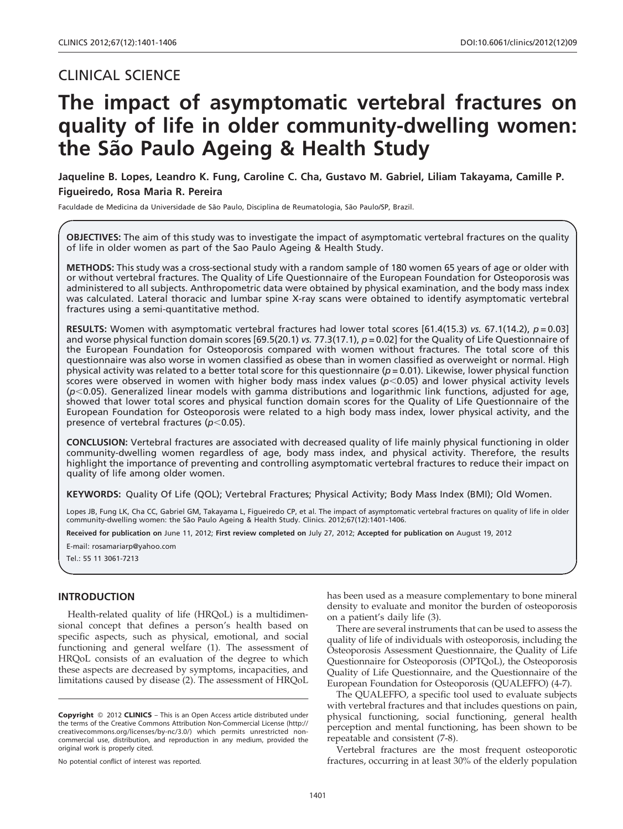# CLINICAL SCIENCE

# The impact of asymptomatic vertebral fractures on quality of life in older community-dwelling women: the São Paulo Ageing & Health Study

Jaqueline B. Lopes, Leandro K. Fung, Caroline C. Cha, Gustavo M. Gabriel, Liliam Takayama, Camille P. Figueiredo, Rosa Maria R. Pereira

Faculdade de Medicina da Universidade de São Paulo, Disciplina de Reumatologia, São Paulo/SP, Brazil.

OBJECTIVES: The aim of this study was to investigate the impact of asymptomatic vertebral fractures on the quality of life in older women as part of the Sao Paulo Ageing & Health Study.

METHODS: This study was a cross-sectional study with a random sample of 180 women 65 years of age or older with or without vertebral fractures. The Quality of Life Questionnaire of the European Foundation for Osteoporosis was administered to all subjects. Anthropometric data were obtained by physical examination, and the body mass index was calculated. Lateral thoracic and lumbar spine X-ray scans were obtained to identify asymptomatic vertebral fractures using a semi-quantitative method.

RESULTS: Women with asymptomatic vertebral fractures had lower total scores [61.4(15.3) vs. 67.1(14.2),  $p = 0.03$ ] and worse physical function domain scores [69.5(20.1) vs. 77.3(17.1),  $p = 0.02$ ] for the Quality of Life Questionnaire of the European Foundation for Osteoporosis compared with women without fractures. The total score of this questionnaire was also worse in women classified as obese than in women classified as overweight or normal. High physical activity was related to a better total score for this questionnaire ( $p = 0.01$ ). Likewise, lower physical function scores were observed in women with higher body mass index values ( $p$ <0.05) and lower physical activity levels  $(p<0.05)$ . Generalized linear models with gamma distributions and logarithmic link functions, adjusted for age, showed that lower total scores and physical function domain scores for the Quality of Life Questionnaire of the European Foundation for Osteoporosis were related to a high body mass index, lower physical activity, and the presence of vertebral fractures ( $p$ <0.05).

CONCLUSION: Vertebral fractures are associated with decreased quality of life mainly physical functioning in older community-dwelling women regardless of age, body mass index, and physical activity. Therefore, the results highlight the importance of preventing and controlling asymptomatic vertebral fractures to reduce their impact on quality of life among older women.

KEYWORDS: Quality Of Life (QOL); Vertebral Fractures; Physical Activity; Body Mass Index (BMI); Old Women.

Lopes JB, Fung LK, Cha CC, Gabriel GM, Takayama L, Figueiredo CP, et al. The impact of asymptomatic vertebral fractures on quality of life in older community-dwelling women: the São Paulo Ageing & Health Study. Clinics. 2012;67(12):1401-1406.

Received for publication on June 11, 2012; First review completed on July 27, 2012; Accepted for publication on August 19, 2012

E-mail: rosamariarp@yahoo.com

Tel.: 55 11 3061-7213

#### INTRODUCTION

Health-related quality of life (HRQoL) is [a](#page-5-0) [multidimen](#page-5-0)sional c[oncept](#page-5-0) [that](#page-5-0) [defines](#page-5-0) [a](#page-5-0) [person's](#page-5-0) [health](#page-5-0) [based](#page-5-0) [on](#page-5-0) specific [aspects,](#page-5-0) [such](#page-5-0) [as](#page-5-0) [physical,](#page-5-0) [emotional,](#page-5-0) [and](#page-5-0) [social](#page-5-0) function[ing](#page-5-0) [and](#page-5-0) [general](#page-5-0) [welfare](#page-5-0) [\(1\).](#page-5-0) [The](#page-5-0) [assessment](#page-5-0) [of](#page-5-0) HRQoL consists of an evaluation of the degree to which these aspects are decreased by symptoms, incapacities, and limitations caused by disease (2). The assessment of HRQoL

No potential conflict of interest was reported.

has been used as a measure complementary to bone mineral density to evaluate and monitor the burden of osteoporosis on a patient's daily life (3).

There are several instruments that can be used to assess the quality of life of individuals with osteoporosis, including the Osteoporosis Assessment Questionnaire, the Quality of Life Questionnaire for Osteoporosis (OPTQoL), the Osteoporosis Quality of Life Questionnaire, and the Questionnaire of the European Foundation for Osteoporosis (QUALEFFO) (4-7).

The QUALEFFO, a specific tool used to evaluate subjects with vertebral fractures and that inc[lude](#page-5-0)s questions on pain, physical functioning, social functioning, general health perception and mental functioning, has been shown to be repeatable and consistent (7-8).

Vertebral fractures are the most frequent osteoporotic fractures, occurring in at least 30% of the elderly population

Copyright © 2012 CLINICS - This is an Open Access article distributed under the terms of the Creative Commons Attribution Non-Commercial License (http:// creativecommons.org/licenses/by-nc/3.0/) which permits unrestricted noncommercial use, distribution, and reproduction in any medium, provided the original work is properly cited.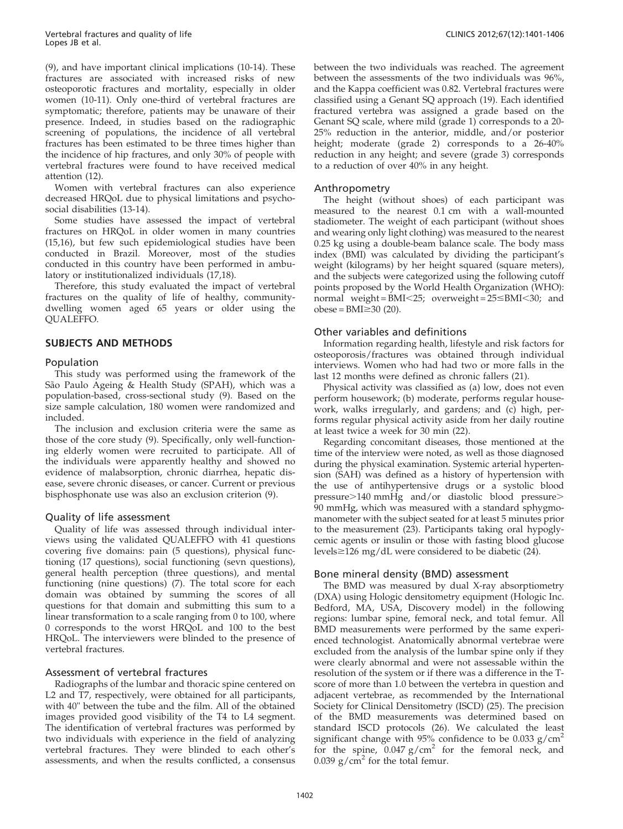(9), and [have important clinical implications \(10-14\). These](#page-5-0) fracture[s](#page-5-0) [are](#page-5-0) [associated](#page-5-0) [with](#page-5-0) [increased](#page-5-0) [risks](#page-5-0) [of](#page-5-0) [new](#page-5-0) osteopor[otic fractures and mortality, especially in older](#page-5-0) women [\(10-11\).](#page-5-0) [Only](#page-5-0) [one-third](#page-5-0) [of](#page-5-0) [vertebral](#page-5-0) [fractures](#page-5-0) [are](#page-5-0) sympto[matic;](#page-5-0) [therefore,](#page-5-0) [patients](#page-5-0) [may](#page-5-0) [be](#page-5-0) [unaware](#page-5-0) [of](#page-5-0) [their](#page-5-0) presenc[e.](#page-5-0) [Indeed,](#page-5-0) [in](#page-5-0) [studies](#page-5-0) [based](#page-5-0) [on](#page-5-0) [the](#page-5-0) [radiographic](#page-5-0) screenin[g](#page-5-0) [of](#page-5-0) [populations,](#page-5-0) [the](#page-5-0) [incidence](#page-5-0) [of](#page-5-0) [all](#page-5-0) [vertebral](#page-5-0) fracture[s](#page-5-0) [has](#page-5-0) [been](#page-5-0) [esti](#page-5-0)mated to be three times higher than the incidence of hip fractures, and only 30% of people with vertebral fractures were f[ound t](#page-5-0)o have received medical attention (12).

Women with vertebral fractures can also experience decrease[d HRQoL due to physical limitations and psycho](#page-5-0)social disabilities (13-14).

Some [studies have assessed the impact of vertebral](#page-5-0) fracture[s](#page-5-0) [on](#page-5-0) [HRQoL](#page-5-0) [in](#page-5-0) [older](#page-5-0) [women](#page-5-0) [in](#page-5-0) [many](#page-5-0) [countries](#page-5-0) (15,16), [but](#page-5-0) [few](#page-5-0) [such](#page-5-0) [epidemiological](#page-5-0) [studies](#page-5-0) [have](#page-5-0) been conducted in Brazil. Moreover, most of the studies conducted in this country have been performed in ambulatory or institutionalized individuals (17,18).

Therefore, this study evaluated the impact of vertebral fractures on the quality of life of healthy, communitydwelling women aged 65 years or older using the QUALEFFO.

# SUBJECTS AND METHODS

# Population

This s[tudy](#page-5-0) [was](#page-5-0) [performed](#page-5-0) [using](#page-5-0) [the](#page-5-0) [framework](#page-5-0) [of](#page-5-0) [the](#page-5-0) São Pau[lo](#page-5-0) [Ageing](#page-5-0) & Health Study (SPAH), which was a population-based, cross-sectional study (9). Based on the size sa[mple calculation, 180 women were randomized and](#page-5-0) included.

The i[nclusion](#page-5-0) [and](#page-5-0) [exclusion](#page-5-0) [criteria](#page-5-0) [were](#page-5-0) [the](#page-5-0) [same](#page-5-0) [as](#page-5-0) those of [the](#page-5-0) [core](#page-5-0) [study](#page-5-0) [\(9\).](#page-5-0) [Specifically,](#page-5-0) [only](#page-5-0) [well-function](#page-5-0)ing elde[rly](#page-5-0) [women](#page-5-0) [were](#page-5-0) [recruited](#page-5-0) [to](#page-5-0) [participate.](#page-5-0) [All](#page-5-0) [of](#page-5-0) the indi[viduals](#page-5-0) [were](#page-5-0) [apparently](#page-5-0) [healthy](#page-5-0) [and](#page-5-0) [showed](#page-5-0) [no](#page-5-0) evidence of malabsorption, chronic diarrhea, hepatic disease, severe chronic diseases, or cancer. Current or previous bisphosphonate use was also an exclusion criterion (9).

# Quality of life assessment

Quality of life was assessed through individual interviews using the validated QUALEFFO with 41 questions covering five domains: pain (5 questi[ons\),](#page-5-0) [physical](#page-5-0) [func](#page-5-0)tioning [\(17](#page-5-0) [questions\),](#page-5-0) [social](#page-5-0) [functioning](#page-5-0) [\(sevn](#page-5-0) [questions\),](#page-5-0) general [health](#page-5-0) [perception](#page-5-0) [\(three](#page-5-0) [questions\),](#page-5-0) [and](#page-5-0) [mental](#page-5-0) function[ing](#page-5-0) [\(nine](#page-5-0) [questions\)](#page-5-0) [\(7\).](#page-5-0) [The](#page-5-0) [total](#page-5-0) [score](#page-5-0) [for](#page-5-0) [each](#page-5-0) domain [was](#page-5-0) [obtained](#page-5-0) [by](#page-5-0) [summing](#page-5-0) [the](#page-5-0) [scores](#page-5-0) [of](#page-5-0) [all](#page-5-0) question[s](#page-5-0) [for](#page-5-0) [that](#page-5-0) [domain](#page-5-0) [and](#page-5-0) [submitting](#page-5-0) [this](#page-5-0) [sum](#page-5-0) [to](#page-5-0) [a](#page-5-0) linear tr[ansformation to a sc](#page-5-0)ale ranging from 0 to 100, where 0 corresponds to the worst HRQoL and 100 to the best HRQoL. The interviewers were blinded to the presence of vertebral fractures.

# Assessment of vertebral fractures

Radiographs of the lumbar and thoracic spine centered on L2 and T7, respectively, were obtained for all participants, with 40" between the tube and the film. All of the obtained images provided good visibility of the T4 to L4 segment. The identification of vertebral fractures was performed by two individuals with experience in the field of analyzing vertebral fractures. They were blinded to each other's assessments, and when the results conflicted, a consensus between the two individuals was reached. The [agreement](#page-5-0) between [the](#page-5-0) [assessments](#page-5-0) [of](#page-5-0) [the](#page-5-0) [two](#page-5-0) [individuals](#page-5-0) [was](#page-5-0) [96%,](#page-5-0) and the [Kappa](#page-5-0) [coefficient](#page-5-0) [was](#page-5-0) [0.82.](#page-5-0) [Vertebral](#page-5-0) [fractures](#page-5-0) [were](#page-5-0) classifie[d](#page-5-0) [using](#page-5-0) [a](#page-5-0) [Genant](#page-5-0) [SQ](#page-5-0) [approach](#page-5-0) [\(19\).](#page-5-0) [Each](#page-5-0) [identified](#page-5-0) fracture[d](#page-5-0) [vertebra](#page-5-0) [was](#page-5-0) [assigned](#page-5-0) [a](#page-5-0) [grade](#page-5-0) [based](#page-5-0) [on](#page-5-0) [the](#page-5-0) Genant [SQ](#page-5-0) [scale,](#page-5-0) [where](#page-5-0) [mild](#page-5-0) [\(grade](#page-5-0) [1\)](#page-5-0) [corresponds](#page-5-0) [to](#page-5-0) [a](#page-5-0) [20-](#page-5-0) 25% re[duction](#page-5-0) [in](#page-5-0) [the](#page-5-0) [anterior,](#page-5-0) [middle,](#page-5-0) [and/or](#page-5-0) posterior height; moderate (grade 2) corresponds to a 26-40% reduction in any height; and severe (grade 3) corresponds to a reduction of over 40% in any height.

#### Anthropometry

The height (without shoes) of each participant was measured to the nearest 0.1 cm with a wall-mounted stadiometer. The weight of each participant (without shoes and wearing only light clothing) was measured to the nearest 0.25 kg using a double-beam balance scale. The body mass index (BMI) was calculated by dividing the participant's weight (kilograms) by her height squared (square meters), and the subjects were cat[egori](#page-5-0)zed using the following cutoff points proposed by the World Health Organization (WHO): normal weight =  $\overline{BMI}$ <25; overweight =  $25 \leq BMI$ <30; and  $obese = BMI \geq 30$  (20).

#### Other variables and definitions

Information regarding health, lifestyle and risk factors [for](#page-5-0) [osteo](#page-5-0)porosis/fractures was obtained through individual interviews. Women who had had two or more falls in the last 12 months were defined as chronic fallers (21).

Physical activity was classified as (a) low, does not even perform housework; (b) moderate, perfor[ms r](#page-5-0)egular housework, walks irregularly, and gardens; and (c) high, performs regular physical activity aside from her daily routine at least twice a week for 30 min (22).

Regarding concomitant diseases, those mentioned at the time of the interview were noted, as well as those diagnosed during the physical examination. Systemic arterial hypertension (SAH) was defined as a history of hypertension with the use of antihypertensive drugs or a systolic blood pressure>140 mmHg and/or [diastolic](#page-5-0) [blood](#page-5-0) [pressure](#page-5-0)> 90 mm[Hg,](#page-5-0) [which](#page-5-0) [was](#page-5-0) [measured](#page-5-0) [with](#page-5-0) [a](#page-5-0) [standard](#page-5-0) [sphygmo](#page-5-0)manome[ter](#page-5-0) [with](#page-5-0) [the](#page-5-0) [subject](#page-5-0) [seated](#page-5-0) [for](#page-5-0) [at](#page-5-0) [least](#page-5-0) [5](#page-5-0) [minutes](#page-5-0) [prior](#page-5-0) to the measurement (23). Participants taking oral hypoglycemic agents or insulin or those with fasting blood glucose levels $\geq$ 126 mg/dL were considered to be diabetic (24).

# Bone mineral density (BMD) assessment

The BMD was measured by dual X-ray absorptiometry (DXA) using Hologic densitometry equipment (Hologic Inc. Bedford, MA, USA, Discovery model) in the following regions: lumbar spine, femoral neck, and total femur. All BMD measurements were performed by the same experienced technologist. Anatomically abnormal vertebrae were excluded from the analysis of the lumbar spine only if they were clearly abnormal and were not assessable within the resolution of the system or if there was a differenc[e](#page-5-0) [in](#page-5-0) [the](#page-5-0) [T](#page-5-0)score of [more](#page-5-0) [than](#page-5-0) [1.0](#page-5-0) [between](#page-5-0) [the](#page-5-0) [vertebra](#page-5-0) [in](#page-5-0) [question](#page-5-0) [and](#page-5-0) adjacent [vertebrae, as recommended by the International](#page-5-0) Society for Clinical Densitometry (ISCD) (25). The precision of the [BMD measurements was determined based on](#page-5-0) standar[d](#page-5-0) [ISCD](#page-5-0) [protocols](#page-5-0) [\(26\).](#page-5-0) [We](#page-5-0) [ca](#page-5-0)lculated the least significant change with 95% confidence to be 0.033  $g/cm<sup>2</sup>$ for the spine,  $0.047$   $g/cm<sup>2</sup>$  for the femoral neck, and 0.039  $g/cm<sup>2</sup>$  for the total femur.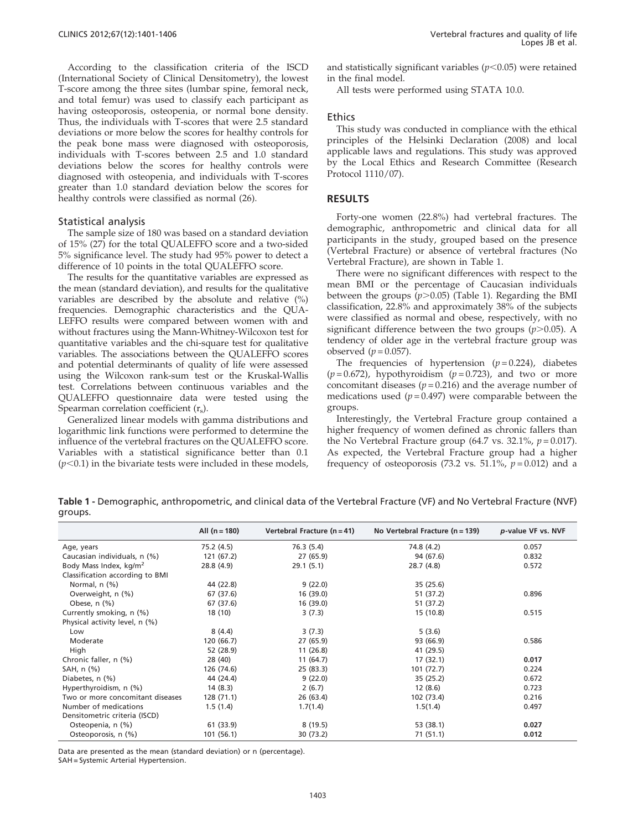According to the classification criteria of the ISCD (International Society of Clinical Densitometry), the lowest T-score among the three sites (lumbar spine, femoral neck, and total femur) was used to classify each participant as having osteoporosis, osteopenia, or normal bone density. Thus, the individuals with T-scores that were 2.5 standard deviations or more below the scores for healthy controls for the peak bone mass were diagnosed with osteoporosis, individuals with T-scores between 2.5 and 1.0 standard deviations below the scores for healthy control[s](#page-5-0) [w](#page-5-0)ere diagnosed with osteopenia, and individuals with T-scores greater than 1.0 standard deviation below the scores for healthy controls were classified as normal (26).

#### Statisti[cal](#page-5-0) [analysis](#page-5-0)

The s[ample](#page-5-0) [size](#page-5-0) [of](#page-5-0) [180](#page-5-0) [was](#page-5-0) [based](#page-5-0) [on](#page-5-0) [a](#page-5-0) [standard](#page-5-0) [deviation](#page-5-0) of 15% (27) for the total QUALEFFO score and a two-sided 5% significance level. The study had 95% power to detect a difference of 10 points in the total QUALEFFO score.

The results for the quantitative variables are expressed as the mean (standard deviation), and results for the qualitative variables are described by the absolute and relative (%) frequencies. Demographic characteristics and the QUA-LEFFO results were compared between women with and without fractures using the Mann-Whitney-Wilcoxon test for quantitative variables and the chi-square test for qualitative variables. The associations between the QUALEFFO scores and potential determinants of quality of life were assessed using the Wilcoxon rank-sum test or the Kruskal-Wallis test. Correlations between continuous variables and the QUALEFFO questionnaire data were tested using the Spearman correlation coefficient  $(r_s)$ .

Generalized linear models with gamma distributions and logarithmic link functions were performed to determine the influence of the vertebral fractures on the QUALEFFO score. Variables with a statistical significance better than 0.1  $(p<0.1)$  in the bivariate tests were included in these models,

and statistically significant variables  $(p<0.05)$  were retained in the final model.

All tests were performed using STATA 10.0.

#### Ethics

This study was conducted in compliance with the ethical principles of the Helsinki Declaration (2008) and local applicable laws and regulations. This study was approved by the Local Ethics and Research Committee (Research Protocol 1110/07).

#### [RESU](#page-5-0)LTS

Forty-one women (22.8%) had vertebral fractures. The demographic, anthropometric and clinical data for all participants in the study, grouped based on the presence (Vertebral Fracture) or absence of vertebral fractures (No Vertebral Fracture), are shown in Table 1.

There were no significant differences with respect to the mean BMI or the percentage of Caucasian individuals between the groups  $(p>0.05)$  (Table 1). Regarding the BMI classification, 22.8% and approximately 38% of the subjects were classified as normal and obese, respectively, with no significant difference between the two groups  $(p>0.05)$ . A tendency of older age in the vertebral fracture group was observed  $(p = 0.057)$ .

The frequencies of hypertension  $(p=0.224)$ , diabetes  $(p=0.672)$ , hypothyroidism  $(p=0.723)$ , and two or more concomitant diseases ( $p = 0.216$ ) and the average number of medications used  $(p=0.497)$  were comparable between the groups.

Interestingly, the Vertebral Fracture group contained a higher frequency of women defined as chronic fallers than the No Vertebral Fracture group (64.7 vs. 32.1%,  $p = 0.017$ ). As expected, the Vertebral Fracture group had a higher frequency of osteoporosis (73.2 vs. 51.1%,  $p = 0.012$ ) and a

Table 1 - Demographic, anthropometric, and clinical data of the Vertebral Fracture (VF) and No Vertebral Fracture (NVF) groups.

|                                    | All $(n = 180)$ | Vertebral Fracture $(n = 41)$ | No Vertebral Fracture ( $n = 139$ ) | p-value VF vs. NVF |
|------------------------------------|-----------------|-------------------------------|-------------------------------------|--------------------|
| Age, years                         | 75.2 (4.5)      | 76.3 (5.4)                    | 74.8 (4.2)                          | 0.057              |
| Caucasian individuals, n (%)       | 121 (67.2)      | 27 (65.9)                     | 94 (67.6)                           | 0.832              |
| Body Mass Index, kg/m <sup>2</sup> | 28.8 (4.9)      | 29.1(5.1)                     | 28.7(4.8)                           | 0.572              |
| Classification according to BMI    |                 |                               |                                     |                    |
| Normal, n (%)                      | 44 (22.8)       | 9(22.0)                       | 35 (25.6)                           |                    |
| Overweight, n (%)                  | 67 (37.6)       | 16 (39.0)                     | 51 (37.2)                           | 0.896              |
| Obese, $n$ $(\%)$                  | 67 (37.6)       | 16 (39.0)                     | 51 (37.2)                           |                    |
| Currently smoking, n (%)           | 18 (10)         | 3(7.3)                        | 15 (10.8)                           | 0.515              |
| Physical activity level, n (%)     |                 |                               |                                     |                    |
| Low                                | 8(4.4)          | 3(7.3)                        | 5(3.6)                              |                    |
| Moderate                           | 120 (66.7)      | 27 (65.9)                     | 93 (66.9)                           | 0.586              |
| High                               | 52 (28.9)       | 11(26.8)                      | 41 (29.5)                           |                    |
| Chronic faller, n (%)              | 28 (40)         | 11(64.7)                      | 17(32.1)                            | 0.017              |
| SAH, n (%)                         | 126 (74.6)      | 25(83.3)                      | 101(72.7)                           | 0.224              |
| Diabetes, n (%)                    | 44 (24.4)       | 9(22.0)                       | 35 (25.2)                           | 0.672              |
| Hyperthyroidism, n (%)             | 14(8.3)         | 2(6.7)                        | 12(8.6)                             | 0.723              |
| Two or more concomitant diseases   | 128 (71.1)      | 26 (63.4)                     | 102 (73.4)                          | 0.216              |
| Number of medications              | 1.5(1.4)        | 1.7(1.4)                      | 1.5(1.4)                            | 0.497              |
| Densitometric criteria (ISCD)      |                 |                               |                                     |                    |
| Osteopenia, n (%)                  | 61 (33.9)       | 8(19.5)                       | 53 (38.1)                           | 0.027              |
| Osteoporosis, n (%)                | 101(56.1)       | 30 (73.2)                     | 71(51.1)                            | 0.012              |

Data are presented as the mean (standard deviation) or n (percentage).

SAH = Systemic Arterial Hypertension.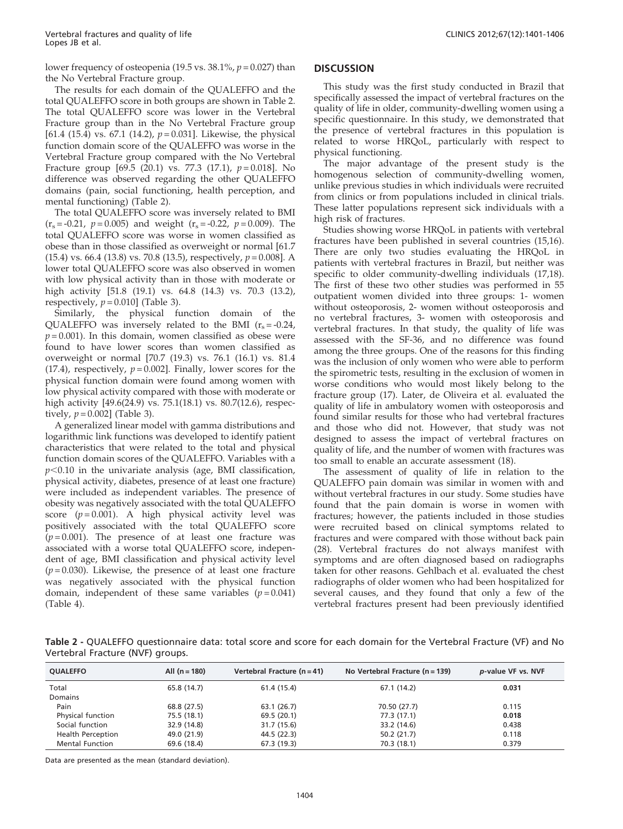lower frequency of osteopenia (19.5 vs.  $38.1\%$ ,  $p = 0.027$ ) than the No Vertebral Fracture group.

The results for each domain of the QUALEFFO and the total QUALEFFO score in both groups are shown in Table 2. The total QUALEFFO score was lower in the Vertebral Fracture group than in the No Vertebral Fracture group [61.4 (15.4) vs. 67.1 (14.2),  $p = 0.031$ ]. Likewise, the physical function domain score of the QUALEFFO was worse in the Vertebral Fracture group compared with the No Vertebral Fracture group  $[69.5 (20.1)$  vs. 77.3  $(17.1)$ ,  $p = 0.018$ ]. No difference was observed regarding the other QUALEFFO domains (pain, social functioning, health perception, and mental functioning) (Table 2).

The total QUALEFFO score was inversely related to BMI  $(r<sub>s</sub> = -0.21, p = 0.005)$  and weight  $(r<sub>s</sub> = -0.22, p = 0.009)$ . The total QUALEFFO score was worse in women classified as obese than in those classified as overweight or normal [61.7 (15.4) vs. 66.4 (13.8) vs. 70.8 (13.5), respectively,  $p = 0.008$ ]. A lower total QUALEFFO score w[as also ob](#page-4-0)served in women with low physical activity than in those with moderate or high activity [51.8 (19.1) vs. 64.8 (14.3) vs. 70.3 (13.2), respectively,  $p = 0.010$  (Table 3).

Similarly, the physical function domain of the QUALEFFO was inversely related to the BMI  $(r_s = -0.24,$  $p = 0.001$ ). In this domain, women classified as obese were found to have lower scores than women classified as overweight or normal [70.7 (19.3) vs. 76.1 (16.1) vs. 81.4 (17.4), respectively,  $p = 0.002$ . Finally, lower scores for the physical function domain [were fou](#page-4-0)nd among women with low physical activity compared with those with moderate or high activity [49.6(24.9) vs. 75.1(18.1) vs. 80.7(12.6), respectively,  $p = 0.002$ ] (Table 3).

A generalized linear model with gamma distributions and logarithmic link functions was developed to identify patient characteristics that were related to the total and physical function domain scores of the QUALEFFO. Variables with a  $p<0.10$  in the univariate analysis (age, BMI classification, physical activity, diabetes, presence of at least one fracture) were included as independent variables. The presence of obesity was negatively associated with the total QUALEFFO score  $(p=0.001)$ . A high physical activity level was positively associated with the total QUALEFFO score  $(p=0.001)$ . The presence of at least one fracture was associated with a worse total QUALEFFO score, independent of age, BMI classification and physical activity level  $(p=0.030)$ . Likewise, the presence of at least one fracture was negatively associated with the physical function domain, independent of these same variables  $(p=0.041)$ (Table 4).

#### **DISCUSSION**

This study was the first study conducted in Brazil that specifically assessed the impact of vertebral fractures on the quality of life in older, community-dwelling women using a specific questionnaire. In this study, we demonstrated that the presence of vertebral fractures in this population is related to worse HRQoL, particularly with respect to physical functioning.

The major advantage of the present study is the homogenous selection of community-dwelling women, unlike previous studies in which individuals were recruited from clinics or from populations included in clinical trials. These la[tter populations represent sick individuals with a](#page-5-0) high risk of fractures.

Studie[s showing worse HRQoL in patients with vertebral](#page-5-0) fracture[s](#page-5-0) [have](#page-5-0) [been](#page-5-0) [published](#page-5-0) [in](#page-5-0) [several](#page-5-0) [countries](#page-5-0) [\(15,16\).](#page-5-0) There a[re only two studies evaluating the HRQoL in](#page-5-0) patients [with](#page-5-0) [vertebral](#page-5-0) [fractures](#page-5-0) [in](#page-5-0) [Brazil,](#page-5-0) [but](#page-5-0) [neither](#page-5-0) [was](#page-5-0) specific [to older community-dwelling individuals \(17,18\).](#page-5-0) The firs[t](#page-5-0) [of](#page-5-0) [these](#page-5-0) [two](#page-5-0) [other](#page-5-0) [studies](#page-5-0) [was](#page-5-0) [performed](#page-5-0) [in](#page-5-0) [55](#page-5-0) outpatie[nt women divided into three groups: 1- women](#page-5-0) without [osteoporosis,](#page-5-0) [2-](#page-5-0) [women](#page-5-0) [without](#page-5-0) [osteoporosis](#page-5-0) [and](#page-5-0) no vert[ebral fractures, 3- women with osteoporosis and](#page-5-0) vertebra[l](#page-5-0) [fractures.](#page-5-0) [In](#page-5-0) [that](#page-5-0) [study,](#page-5-0) [the](#page-5-0) [quality](#page-5-0) [of](#page-5-0) [life](#page-5-0) [was](#page-5-0) assessed [with](#page-5-0) [the](#page-5-0) [SF-36,](#page-5-0) [and](#page-5-0) [no](#page-5-0) [difference](#page-5-0) [was](#page-5-0) [found](#page-5-0) among t[he](#page-5-0) [three](#page-5-0) [groups.](#page-5-0) [One](#page-5-0) [of](#page-5-0) [the](#page-5-0) [reasons](#page-5-0) [for](#page-5-0) [this](#page-5-0) [finding](#page-5-0) was the [inclusion](#page-5-0) [of](#page-5-0) [only](#page-5-0) [women](#page-5-0) [who](#page-5-0) [were](#page-5-0) [able](#page-5-0) [to](#page-5-0) [perform](#page-5-0) the spir[ometric](#page-5-0) [tests,](#page-5-0) [resulting](#page-5-0) [in](#page-5-0) [the](#page-5-0) [exclusion](#page-5-0) [of](#page-5-0) [women](#page-5-0) [in](#page-5-0) worse c[onditions](#page-5-0) [who](#page-5-0) [would](#page-5-0) [most](#page-5-0) [likely](#page-5-0) [belong](#page-5-0) [to](#page-5-0) [the](#page-5-0) fracture [group](#page-5-0) [\(17\).](#page-5-0) [Later,](#page-5-0) [de](#page-5-0) [Oliveira](#page-5-0) [et](#page-5-0) [al.](#page-5-0) [evaluated](#page-5-0) [the](#page-5-0) quality [of](#page-5-0) [life](#page-5-0) [in](#page-5-0) [ambulatory](#page-5-0) [women](#page-5-0) [with](#page-5-0) [osteoporosis](#page-5-0) [and](#page-5-0) found si[milar results for those who had vertebral fractures](#page-5-0) and tho[se](#page-5-0) [who](#page-5-0) [did](#page-5-0) [not.](#page-5-0) [However,](#page-5-0) [that](#page-5-0) [study](#page-5-0) [was](#page-5-0) [n](#page-5-0)ot designed to assess the impact of vertebral fractures on quality of life, and the number of women with fractures was too small to enable an accurate assessment (18).

The assessment of quality of life in relation to the QUALEFFO pain domain was similar in women with and without vertebral fractures in our study. Some studies have found that the pain domain is worse in women with fractures; [however, the patients included in those studies](#page-5-0) were re[cruited](#page-5-0) [based](#page-5-0) [on](#page-5-0) [clinical](#page-5-0) [symptoms](#page-5-0) [related](#page-5-0) [to](#page-5-0) fracture[s and were compared with those without back pain](#page-5-0) (28). Ve[rtebral](#page-5-0) [fractures](#page-5-0) [do](#page-5-0) [not](#page-5-0) [always](#page-5-0) [manifest](#page-5-0) [with](#page-5-0) sympto[ms and are often diagnosed based on radiographs](#page-5-0) taken fo[r](#page-5-0) [other](#page-5-0) [reasons.](#page-5-0) [Gehlbach](#page-5-0) [et](#page-5-0) [al.](#page-5-0) [evaluated](#page-5-0) [the](#page-5-0) [chest](#page-5-0) radiographs of older women who had been hospitalized for several causes, and they found that only a few of the vertebral fractures present had been previously identified

Table 2 - QUALEFFO questionnaire data: total score and score for each domain for the Vertebral Fracture (VF) and No Vertebral Fracture (NVF) groups.

| <b>OUALEFFO</b>          | All $(n = 180)$ | Vertebral Fracture $(n = 41)$ | No Vertebral Fracture ( $n = 139$ ) | p-value VF vs. NVF |
|--------------------------|-----------------|-------------------------------|-------------------------------------|--------------------|
| Total                    | 65.8 (14.7)     | 61.4 (15.4)                   | 67.1 (14.2)                         | 0.031              |
| Domains                  |                 |                               |                                     |                    |
| Pain                     | 68.8 (27.5)     | 63.1 (26.7)                   | 70.50 (27.7)                        | 0.115              |
| Physical function        | 75.5 (18.1)     | 69.5 (20.1)                   | 77.3 (17.1)                         | 0.018              |
| Social function          | 32.9 (14.8)     | 31.7 (15.6)                   | 33.2 (14.6)                         | 0.438              |
| <b>Health Perception</b> | 49.0 (21.9)     | 44.5 (22.3)                   | 50.2 (21.7)                         | 0.118              |
| <b>Mental Function</b>   | 69.6 (18.4)     | 67.3 (19.3)                   | 70.3 (18.1)                         | 0.379              |

Data are presented as the mean (standard deviation).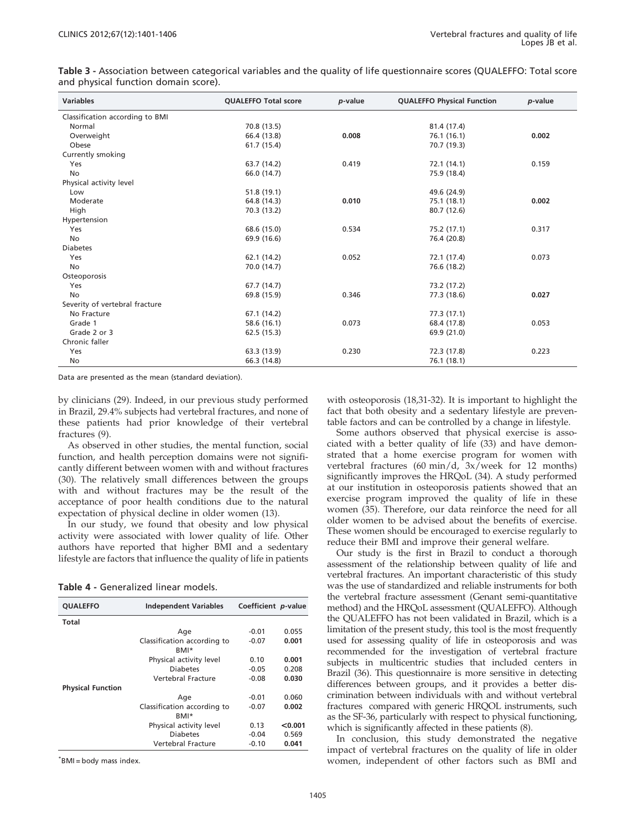<span id="page-4-0"></span>Table 3 - Association between categorical variables and the quality of life questionnaire scores (QUALEFFO: Total score and physical function domain score).

| <b>Variables</b>                | <b>QUALEFFO Total score</b> | p-value | <b>QUALEFFO Physical Function</b> | p-value |
|---------------------------------|-----------------------------|---------|-----------------------------------|---------|
| Classification according to BMI |                             |         |                                   |         |
| Normal                          | 70.8 (13.5)                 |         | 81.4 (17.4)                       |         |
| Overweight                      | 66.4 (13.8)                 | 0.008   | 76.1 (16.1)                       | 0.002   |
| Obese                           | 61.7 (15.4)                 |         | 70.7 (19.3)                       |         |
| Currently smoking               |                             |         |                                   |         |
| Yes                             | 63.7 (14.2)                 | 0.419   | 72.1 (14.1)                       | 0.159   |
| No                              | 66.0 (14.7)                 |         | 75.9 (18.4)                       |         |
| Physical activity level         |                             |         |                                   |         |
| Low                             | 51.8 (19.1)                 |         | 49.6 (24.9)                       |         |
| Moderate                        | 64.8 (14.3)                 | 0.010   | 75.1 (18.1)                       | 0.002   |
| High                            | 70.3 (13.2)                 |         | 80.7 (12.6)                       |         |
| Hypertension                    |                             |         |                                   |         |
| Yes                             | 68.6 (15.0)                 | 0.534   | 75.2 (17.1)                       | 0.317   |
| No                              | 69.9 (16.6)                 |         | 76.4 (20.8)                       |         |
| <b>Diabetes</b>                 |                             |         |                                   |         |
| Yes                             | 62.1 (14.2)                 | 0.052   | 72.1 (17.4)                       | 0.073   |
| No                              | 70.0 (14.7)                 |         | 76.6 (18.2)                       |         |
| Osteoporosis                    |                             |         |                                   |         |
| Yes                             | 67.7 (14.7)                 |         | 73.2 (17.2)                       |         |
| No                              | 69.8 (15.9)                 | 0.346   | 77.3 (18.6)                       | 0.027   |
| Severity of vertebral fracture  |                             |         |                                   |         |
| No Fracture                     | 67.1 (14.2)                 |         | 77.3 (17.1)                       |         |
| Grade 1                         | 58.6 (16.1)                 | 0.073   | 68.4 (17.8)                       | 0.053   |
| Grade 2 or 3                    | 62.5 (15.3)                 |         | 69.9 (21.0)                       |         |
| Chronic faller                  |                             |         |                                   |         |
| Yes                             | 63.3 (13.9)                 | 0.230   | 72.3 (17.8)                       | 0.223   |
| No                              | 66.3 (14.8)                 |         | 76.1 (18.1)                       |         |

Data are [presented as the mean \(standard deviation\).](#page-5-0)

by clinic[ians \(29\). Ind](#page-5-0)eed, in our previous study performed in Brazil, 29.4% subjects had vertebral fractures, and none of these patients had prior knowledge of their vertebral fractures (9).

As obs[erved in other studies, the mental function, social](#page-5-0) function[, and health perception domains were not signifi](#page-5-0)cantly d[ifferent between women with and without fractures](#page-5-0) (30). Th[e relatively small differences between the groups](#page-5-0) with and without fractures may be the result of the acceptance of poor health conditions due to the natural expectation of physical decline in older women (13).

In our study, we found that obesity and low physical activity were associated with lower quality of life. Other authors have reported that higher BMI and a sedentary lifestyle are factors that influence the quality of life in patients

|  | Table 4 - Generalized linear models. |
|--|--------------------------------------|
|--|--------------------------------------|

| <b>OUALEFFO</b>          | <b>Independent Variables</b>        | Coefficient <i>p</i> -value |         |
|--------------------------|-------------------------------------|-----------------------------|---------|
| Total                    |                                     |                             |         |
|                          | Age                                 | $-0.01$                     | 0.055   |
|                          | Classification according to<br>RMI* | $-0.07$                     | 0.001   |
|                          | Physical activity level             | 0.10                        | 0.001   |
|                          | <b>Diabetes</b>                     | $-0.05$                     | 0.208   |
|                          | Vertebral Fracture                  | $-0.08$                     | 0.030   |
| <b>Physical Function</b> |                                     |                             |         |
|                          | Age                                 | $-0.01$                     | 0.060   |
|                          | Classification according to         | $-0.07$                     | 0.002   |
|                          | RMI*                                |                             |         |
|                          | Physical activity level             | 0.13                        | < 0.001 |
|                          | <b>Diabetes</b>                     | $-0.04$                     | 0.569   |
|                          | Vertebral Fracture                  | $-0.10$                     | 0.041   |

\* BMI = body mass index.

with osteoporosis (18,31-32). It is important to highlight the fact that both obesity and a sedentary lifesty[le](#page-5-0) [are](#page-5-0) [preven](#page-5-0)table fac[tors](#page-5-0) [and](#page-5-0) [can](#page-5-0) [be](#page-5-0) [controlled](#page-5-0) [by](#page-5-0) [a](#page-5-0) [change](#page-5-0) [in](#page-5-0) [lifestyle.](#page-5-0)

Some [authors](#page-5-0) [observed](#page-5-0) [that](#page-5-0) [physical](#page-5-0) [exercise](#page-5-0) [is](#page-5-0) [asso](#page-5-0)ciated [with](#page-5-0) [a](#page-5-0) [better](#page-5-0) [quality](#page-5-0) [of](#page-5-0) [life](#page-5-0) [\(33\)](#page-5-0) [and](#page-5-0) [have](#page-5-0) [demon](#page-5-0)strated [that a home exercise program for women with](#page-5-0) vertebra[l](#page-5-0) [fractures](#page-5-0) [\(60](#page-5-0) [min/d,](#page-5-0) [3x/week](#page-5-0) [for](#page-5-0) [12](#page-5-0) [months\)](#page-5-0) significa[ntly improves the HRQoL \(34\). A study performed](#page-5-0) at our i[nstitution](#page-5-0) [in](#page-5-0) [osteoporosis](#page-5-0) [patients](#page-5-0) [showed](#page-5-0) [that](#page-5-0) [an](#page-5-0) exercise [program](#page-5-0) [improved](#page-5-0) [the](#page-5-0) [quality](#page-5-0) [of](#page-5-0) [life](#page-5-0) [in](#page-5-0) [these](#page-5-0) women [\(35\).](#page-5-0) [Therefore,](#page-5-0) [our](#page-5-0) [data](#page-5-0) [reinforce](#page-5-0) [the](#page-5-0) [need](#page-5-0) [for](#page-5-0) [all](#page-5-0) older women to be advised about the benefits of exercise. These women should be encouraged to exercise regularly to reduce their BMI and improve their general welfare.

Our study is the first in Brazil to conduct a thorough assessment of the relationship between quality of life and vertebral fractures. An important characteristic of this study was the use of standardized and reliable instruments for both the vertebral fracture assessment (Genant semi-quantitative method) and the HRQoL assessment (QUALEFFO). Although the QUALEFFO has not been validated in Brazil, which is a limitation of the present study, this tool is the most frequently used for assess[ing](#page-5-0) [quality](#page-5-0) [of](#page-5-0) [life](#page-5-0) [in](#page-5-0) [osteoporosis](#page-5-0) [and](#page-5-0) [was](#page-5-0) recomm[ended](#page-5-0) [for](#page-5-0) [the](#page-5-0) [investigation](#page-5-0) [of](#page-5-0) [vertebral](#page-5-0) [fracture](#page-5-0) subjects [in](#page-5-0) [multicentric](#page-5-0) [studies](#page-5-0) [that](#page-5-0) [included](#page-5-0) [centers](#page-5-0) [in](#page-5-0) Brazil (3[6\).](#page-5-0) [This](#page-5-0) [questionnaire](#page-5-0) [is](#page-5-0) [more](#page-5-0) [sensitive](#page-5-0) [in](#page-5-0) [detecting](#page-5-0) differen[ces](#page-5-0) [between](#page-5-0) [groups,](#page-5-0) [and](#page-5-0) [it](#page-5-0) [provides](#page-5-0) [a](#page-5-0) [better](#page-5-0) [dis](#page-5-0)criminat[ion](#page-5-0) [between](#page-5-0) [individuals](#page-5-0) [with](#page-5-0) [and](#page-5-0) [without](#page-5-0) [vertebr](#page-5-0)al fractures compared with generic HRQOL instruments, such as the SF-36, particularly with respect to physical functioning, which is significantly affected in these patients (8).

In conclusion, this study demonstrated the negative impact of vertebral fractures on the quality of life in older women, independent of other factors such as BMI and